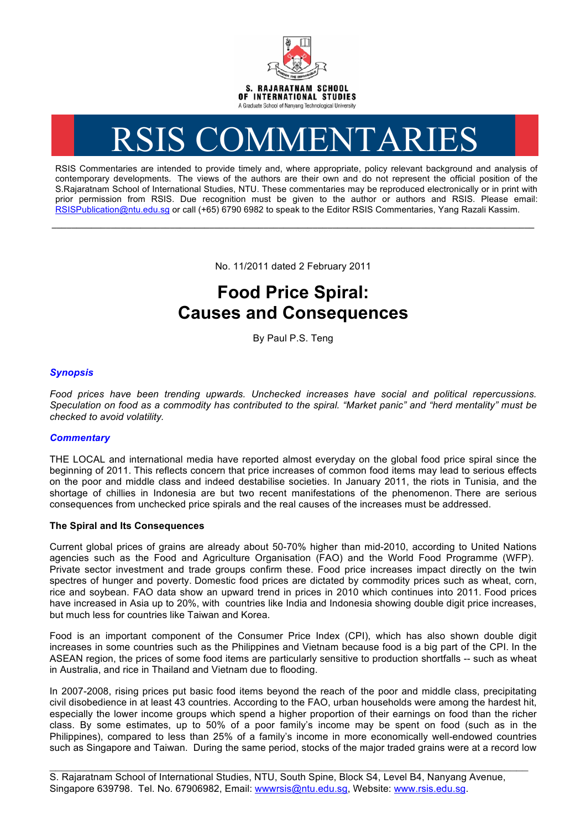

# RSIS COMMENTARIES

RSIS Commentaries are intended to provide timely and, where appropriate, policy relevant background and analysis of contemporary developments. The views of the authors are their own and do not represent the official position of the S.Rajaratnam School of International Studies, NTU. These commentaries may be reproduced electronically or in print with prior permission from RSIS. Due recognition must be given to the author or authors and RSIS. Please email: RSISPublication@ntu.edu.sg or call (+65) 6790 6982 to speak to the Editor RSIS Commentaries, Yang Razali Kassim.

No. 11/2011 dated 2 February 2011

**\_\_\_\_\_\_\_\_\_\_\_\_\_\_\_\_\_\_\_\_\_\_\_\_\_\_\_\_\_\_\_\_\_\_\_\_\_\_\_\_\_\_\_\_\_\_\_\_\_\_\_\_\_\_\_\_\_\_\_\_\_\_\_\_\_\_\_\_\_\_\_\_\_\_\_\_\_\_\_\_\_\_\_\_\_\_\_\_\_\_\_\_\_\_\_\_\_\_**

# **Food Price Spiral: Causes and Consequences**

By Paul P.S. Teng

## *Synopsis*

*Food prices have been trending upwards. Unchecked increases have social and political repercussions. Speculation on food as a commodity has contributed to the spiral. "Market panic" and "herd mentality" must be checked to avoid volatility.* 

### *Commentary*

THE LOCAL and international media have reported almost everyday on the global food price spiral since the beginning of 2011. This reflects concern that price increases of common food items may lead to serious effects on the poor and middle class and indeed destabilise societies. In January 2011, the riots in Tunisia, and the shortage of chillies in Indonesia are but two recent manifestations of the phenomenon. There are serious consequences from unchecked price spirals and the real causes of the increases must be addressed.

### **The Spiral and Its Consequences**

Current global prices of grains are already about 50-70% higher than mid-2010, according to United Nations agencies such as the Food and Agriculture Organisation (FAO) and the World Food Programme (WFP). Private sector investment and trade groups confirm these. Food price increases impact directly on the twin spectres of hunger and poverty. Domestic food prices are dictated by commodity prices such as wheat, corn, rice and soybean. FAO data show an upward trend in prices in 2010 which continues into 2011. Food prices have increased in Asia up to 20%, with countries like India and Indonesia showing double digit price increases, but much less for countries like Taiwan and Korea.

Food is an important component of the Consumer Price Index (CPI), which has also shown double digit increases in some countries such as the Philippines and Vietnam because food is a big part of the CPI. In the ASEAN region, the prices of some food items are particularly sensitive to production shortfalls -- such as wheat in Australia, and rice in Thailand and Vietnam due to flooding.

In 2007-2008, rising prices put basic food items beyond the reach of the poor and middle class, precipitating civil disobedience in at least 43 countries. According to the FAO, urban households were among the hardest hit, especially the lower income groups which spend a higher proportion of their earnings on food than the richer class. By some estimates, up to 50% of a poor family's income may be spent on food (such as in the Philippines), compared to less than 25% of a family's income in more economically well-endowed countries such as Singapore and Taiwan. During the same period, stocks of the major traded grains were at a record low